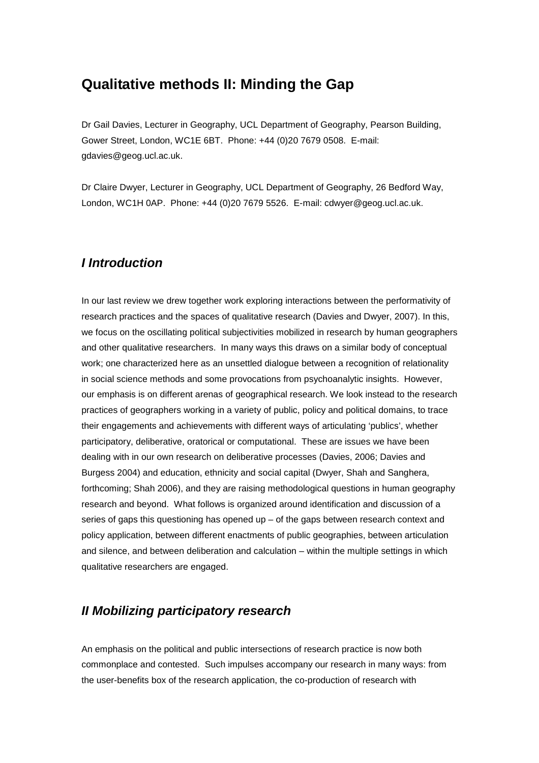## **Qualitative methods II: Minding the Gap**

Dr Gail Davies, Lecturer in Geography, UCL Department of Geography, Pearson Building, Gower Street, London, WC1E 6BT. Phone: +44 (0)20 7679 0508. E-mail: gdavies@geog.ucl.ac.uk.

Dr Claire Dwyer, Lecturer in Geography, UCL Department of Geography, 26 Bedford Way, London, WC1H 0AP. Phone: +44 (0)20 7679 5526. E-mail: cdwyer@geog.ucl.ac.uk.

## *I Introduction*

In our last review we drew together work exploring interactions between the performativity of research practices and the spaces of qualitative research (Davies and Dwyer, 2007). In this, we focus on the oscillating political subjectivities mobilized in research by human geographers and other qualitative researchers. In many ways this draws on a similar body of conceptual work; one characterized here as an unsettled dialogue between a recognition of relationality in social science methods and some provocations from psychoanalytic insights. However, our emphasis is on different arenas of geographical research. We look instead to the research practices of geographers working in a variety of public, policy and political domains, to trace their engagements and achievements with different ways of articulating 'publics', whether participatory, deliberative, oratorical or computational. These are issues we have been dealing with in our own research on deliberative processes (Davies, 2006; Davies and Burgess 2004) and education, ethnicity and social capital (Dwyer, Shah and Sanghera, forthcoming; Shah 2006), and they are raising methodological questions in human geography research and beyond. What follows is organized around identification and discussion of a series of gaps this questioning has opened up – of the gaps between research context and policy application, between different enactments of public geographies, between articulation and silence, and between deliberation and calculation – within the multiple settings in which qualitative researchers are engaged.

## *II Mobilizing participatory research*

An emphasis on the political and public intersections of research practice is now both commonplace and contested. Such impulses accompany our research in many ways: from the user-benefits box of the research application, the co-production of research with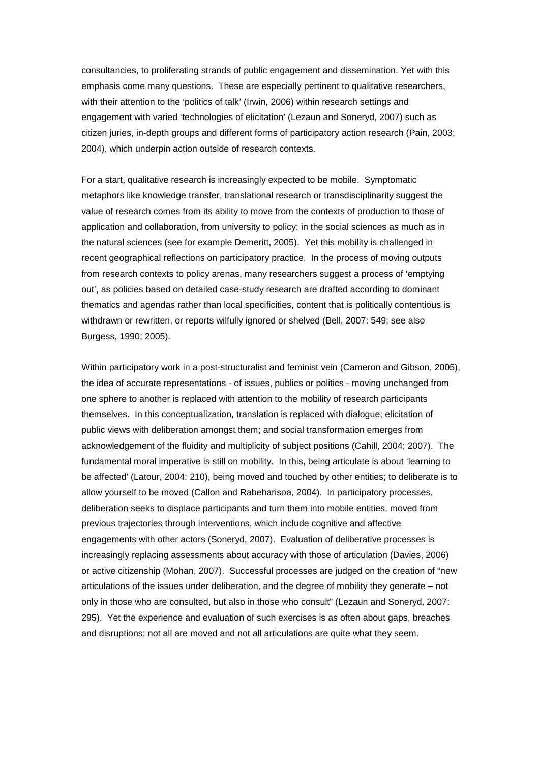consultancies, to proliferating strands of public engagement and dissemination. Yet with this emphasis come many questions. These are especially pertinent to qualitative researchers, with their attention to the 'politics of talk' (Irwin, 2006) within research settings and engagement with varied 'technologies of elicitation' (Lezaun and Soneryd, 2007) such as citizen juries, in-depth groups and different forms of participatory action research (Pain, 2003; 2004), which underpin action outside of research contexts.

For a start, qualitative research is increasingly expected to be mobile. Symptomatic metaphors like knowledge transfer, translational research or transdisciplinarity suggest the value of research comes from its ability to move from the contexts of production to those of application and collaboration, from university to policy; in the social sciences as much as in the natural sciences (see for example Demeritt, 2005). Yet this mobility is challenged in recent geographical reflections on participatory practice. In the process of moving outputs from research contexts to policy arenas, many researchers suggest a process of 'emptying out', as policies based on detailed case-study research are drafted according to dominant thematics and agendas rather than local specificities, content that is politically contentious is withdrawn or rewritten, or reports wilfully ignored or shelved (Bell, 2007: 549; see also Burgess, 1990; 2005).

Within participatory work in a post-structuralist and feminist vein (Cameron and Gibson, 2005), the idea of accurate representations - of issues, publics or politics - moving unchanged from one sphere to another is replaced with attention to the mobility of research participants themselves. In this conceptualization, translation is replaced with dialogue; elicitation of public views with deliberation amongst them; and social transformation emerges from acknowledgement of the fluidity and multiplicity of subject positions (Cahill, 2004; 2007). The fundamental moral imperative is still on mobility. In this, being articulate is about 'learning to be affected' (Latour, 2004: 210), being moved and touched by other entities; to deliberate is to allow yourself to be moved (Callon and Rabeharisoa, 2004). In participatory processes, deliberation seeks to displace participants and turn them into mobile entities, moved from previous trajectories through interventions, which include cognitive and affective engagements with other actors (Soneryd, 2007). Evaluation of deliberative processes is increasingly replacing assessments about accuracy with those of articulation (Davies, 2006) or active citizenship (Mohan, 2007). Successful processes are judged on the creation of "new articulations of the issues under deliberation, and the degree of mobility they generate – not only in those who are consulted, but also in those who consult" (Lezaun and Soneryd, 2007: 295). Yet the experience and evaluation of such exercises is as often about gaps, breaches and disruptions; not all are moved and not all articulations are quite what they seem.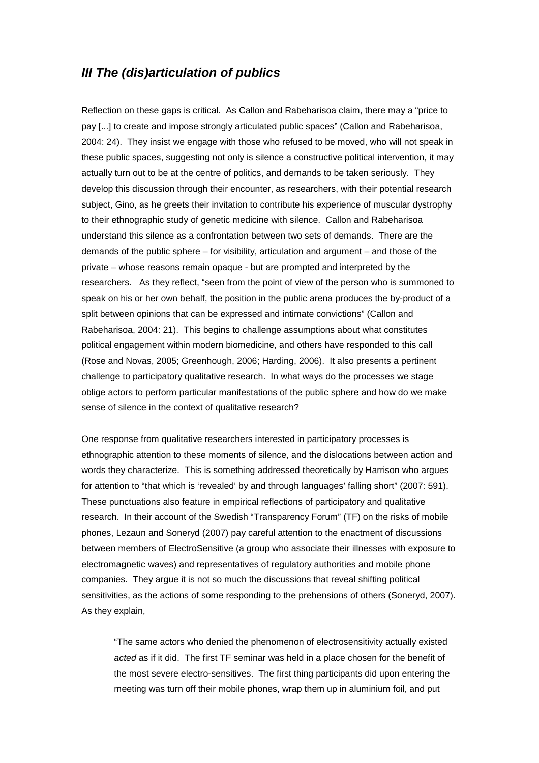#### *III The (dis)articulation of publics*

Reflection on these gaps is critical. As Callon and Rabeharisoa claim, there may a "price to pay [...] to create and impose strongly articulated public spaces" (Callon and Rabeharisoa, 2004: 24). They insist we engage with those who refused to be moved, who will not speak in these public spaces, suggesting not only is silence a constructive political intervention, it may actually turn out to be at the centre of politics, and demands to be taken seriously. They develop this discussion through their encounter, as researchers, with their potential research subject, Gino, as he greets their invitation to contribute his experience of muscular dystrophy to their ethnographic study of genetic medicine with silence. Callon and Rabeharisoa understand this silence as a confrontation between two sets of demands. There are the demands of the public sphere – for visibility, articulation and argument – and those of the private – whose reasons remain opaque - but are prompted and interpreted by the researchers. As they reflect, "seen from the point of view of the person who is summoned to speak on his or her own behalf, the position in the public arena produces the by-product of a split between opinions that can be expressed and intimate convictions" (Callon and Rabeharisoa, 2004: 21). This begins to challenge assumptions about what constitutes political engagement within modern biomedicine, and others have responded to this call (Rose and Novas, 2005; Greenhough, 2006; Harding, 2006). It also presents a pertinent challenge to participatory qualitative research. In what ways do the processes we stage oblige actors to perform particular manifestations of the public sphere and how do we make sense of silence in the context of qualitative research?

One response from qualitative researchers interested in participatory processes is ethnographic attention to these moments of silence, and the dislocations between action and words they characterize. This is something addressed theoretically by Harrison who argues for attention to "that which is 'revealed' by and through languages' falling short" (2007: 591). These punctuations also feature in empirical reflections of participatory and qualitative research. In their account of the Swedish "Transparency Forum" (TF) on the risks of mobile phones, Lezaun and Soneryd (2007) pay careful attention to the enactment of discussions between members of ElectroSensitive (a group who associate their illnesses with exposure to electromagnetic waves) and representatives of regulatory authorities and mobile phone companies. They argue it is not so much the discussions that reveal shifting political sensitivities, as the actions of some responding to the prehensions of others (Soneryd, 2007). As they explain,

"The same actors who denied the phenomenon of electrosensitivity actually existed *acted* as if it did. The first TF seminar was held in a place chosen for the benefit of the most severe electro-sensitives. The first thing participants did upon entering the meeting was turn off their mobile phones, wrap them up in aluminium foil, and put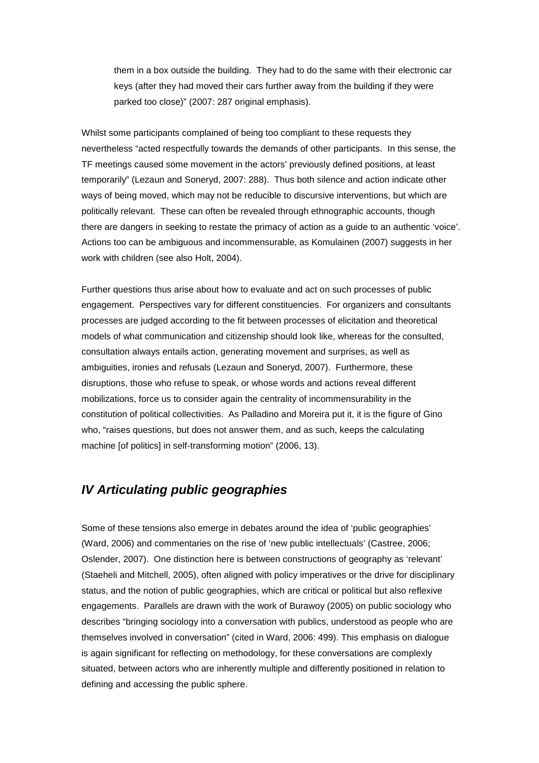them in a box outside the building. They had to do the same with their electronic car keys (after they had moved their cars further away from the building if they were parked too close)" (2007: 287 original emphasis).

Whilst some participants complained of being too compliant to these requests they nevertheless "acted respectfully towards the demands of other participants. In this sense, the TF meetings caused some movement in the actors' previously defined positions, at least temporarily" (Lezaun and Soneryd, 2007: 288). Thus both silence and action indicate other ways of being moved, which may not be reducible to discursive interventions, but which are politically relevant. These can often be revealed through ethnographic accounts, though there are dangers in seeking to restate the primacy of action as a guide to an authentic 'voice'. Actions too can be ambiguous and incommensurable, as Komulainen (2007) suggests in her work with children (see also Holt, 2004).

Further questions thus arise about how to evaluate and act on such processes of public engagement. Perspectives vary for different constituencies. For organizers and consultants processes are judged according to the fit between processes of elicitation and theoretical models of what communication and citizenship should look like, whereas for the consulted, consultation always entails action, generating movement and surprises, as well as ambiguities, ironies and refusals (Lezaun and Soneryd, 2007). Furthermore, these disruptions, those who refuse to speak, or whose words and actions reveal different mobilizations, force us to consider again the centrality of incommensurability in the constitution of political collectivities. As Palladino and Moreira put it, it is the figure of Gino who, "raises questions, but does not answer them, and as such, keeps the calculating machine [of politics] in self-transforming motion" (2006, 13).

## *IV Articulating public geographies*

Some of these tensions also emerge in debates around the idea of 'public geographies' (Ward, 2006) and commentaries on the rise of 'new public intellectuals' (Castree, 2006; Oslender, 2007). One distinction here is between constructions of geography as 'relevant' (Staeheli and Mitchell, 2005), often aligned with policy imperatives or the drive for disciplinary status, and the notion of public geographies, which are critical or political but also reflexive engagements. Parallels are drawn with the work of Burawoy (2005) on public sociology who describes "bringing sociology into a conversation with publics, understood as people who are themselves involved in conversation" (cited in Ward, 2006: 499). This emphasis on dialogue is again significant for reflecting on methodology, for these conversations are complexly situated, between actors who are inherently multiple and differently positioned in relation to defining and accessing the public sphere.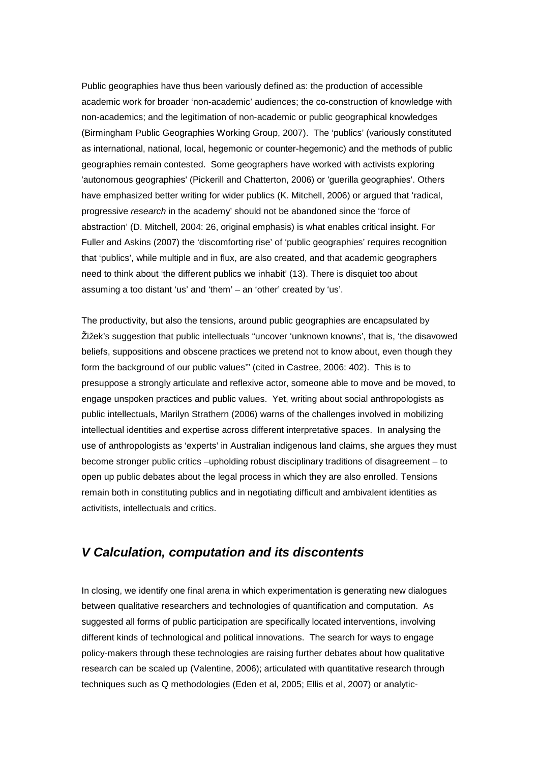Public geographies have thus been variously defined as: the production of accessible academic work for broader 'non-academic' audiences; the co-construction of knowledge with non-academics; and the legitimation of non-academic or public geographical knowledges (Birmingham Public Geographies Working Group, 2007). The 'publics' (variously constituted as international, national, local, hegemonic or counter-hegemonic) and the methods of public geographies remain contested. Some geographers have worked with activists exploring 'autonomous geographies' (Pickerill and Chatterton, 2006) or 'guerilla geographies'. Others have emphasized better writing for wider publics (K. Mitchell, 2006) or argued that 'radical, progressive *research* in the academy' should not be abandoned since the 'force of abstraction' (D. Mitchell, 2004: 26, original emphasis) is what enables critical insight. For Fuller and Askins (2007) the 'discomforting rise' of 'public geographies' requires recognition that 'publics', while multiple and in flux, are also created, and that academic geographers need to think about 'the different publics we inhabit' (13). There is disquiet too about assuming a too distant 'us' and 'them' – an 'other' created by 'us'.

The productivity, but also the tensions, around public geographies are encapsulated by Žižek's suggestion that public intellectuals "uncover 'unknown knowns', that is, 'the disavowed beliefs, suppositions and obscene practices we pretend not to know about, even though they form the background of our public values'" (cited in Castree, 2006: 402). This is to presuppose a strongly articulate and reflexive actor, someone able to move and be moved, to engage unspoken practices and public values. Yet, writing about social anthropologists as public intellectuals, Marilyn Strathern (2006) warns of the challenges involved in mobilizing intellectual identities and expertise across different interpretative spaces. In analysing the use of anthropologists as 'experts' in Australian indigenous land claims, she argues they must become stronger public critics –upholding robust disciplinary traditions of disagreement – to open up public debates about the legal process in which they are also enrolled. Tensions remain both in constituting publics and in negotiating difficult and ambivalent identities as activitists, intellectuals and critics.

#### *V Calculation, computation and its discontents*

In closing, we identify one final arena in which experimentation is generating new dialogues between qualitative researchers and technologies of quantification and computation. As suggested all forms of public participation are specifically located interventions, involving different kinds of technological and political innovations. The search for ways to engage policy-makers through these technologies are raising further debates about how qualitative research can be scaled up (Valentine, 2006); articulated with quantitative research through techniques such as Q methodologies (Eden et al, 2005; Ellis et al, 2007) or analytic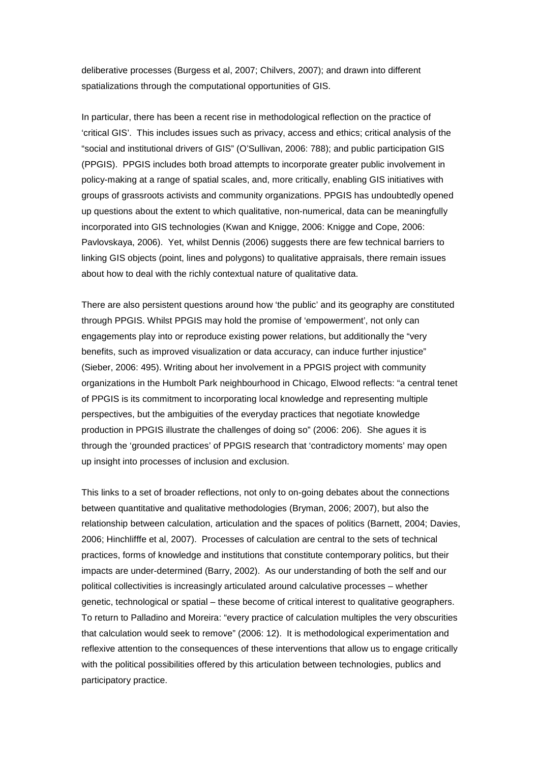deliberative processes (Burgess et al, 2007; Chilvers, 2007); and drawn into different spatializations through the computational opportunities of GIS.

In particular, there has been a recent rise in methodological reflection on the practice of 'critical GIS'. This includes issues such as privacy, access and ethics; critical analysis of the "social and institutional drivers of GIS" (O'Sullivan, 2006: 788); and public participation GIS (PPGIS). PPGIS includes both broad attempts to incorporate greater public involvement in policy-making at a range of spatial scales, and, more critically, enabling GIS initiatives with groups of grassroots activists and community organizations. PPGIS has undoubtedly opened up questions about the extent to which qualitative, non-numerical, data can be meaningfully incorporated into GIS technologies (Kwan and Knigge, 2006: Knigge and Cope, 2006: Pavlovskaya, 2006). Yet, whilst Dennis (2006) suggests there are few technical barriers to linking GIS objects (point, lines and polygons) to qualitative appraisals, there remain issues about how to deal with the richly contextual nature of qualitative data.

There are also persistent questions around how 'the public' and its geography are constituted through PPGIS. Whilst PPGIS may hold the promise of 'empowerment', not only can engagements play into or reproduce existing power relations, but additionally the "very benefits, such as improved visualization or data accuracy, can induce further injustice" (Sieber, 2006: 495). Writing about her involvement in a PPGIS project with community organizations in the Humbolt Park neighbourhood in Chicago, Elwood reflects: "a central tenet of PPGIS is its commitment to incorporating local knowledge and representing multiple perspectives, but the ambiguities of the everyday practices that negotiate knowledge production in PPGIS illustrate the challenges of doing so" (2006: 206). She agues it is through the 'grounded practices' of PPGIS research that 'contradictory moments' may open up insight into processes of inclusion and exclusion.

This links to a set of broader reflections, not only to on-going debates about the connections between quantitative and qualitative methodologies (Bryman, 2006; 2007), but also the relationship between calculation, articulation and the spaces of politics (Barnett, 2004; Davies, 2006; Hinchlifffe et al, 2007). Processes of calculation are central to the sets of technical practices, forms of knowledge and institutions that constitute contemporary politics, but their impacts are under-determined (Barry, 2002). As our understanding of both the self and our political collectivities is increasingly articulated around calculative processes – whether genetic, technological or spatial – these become of critical interest to qualitative geographers. To return to Palladino and Moreira: "every practice of calculation multiples the very obscurities that calculation would seek to remove" (2006: 12). It is methodological experimentation and reflexive attention to the consequences of these interventions that allow us to engage critically with the political possibilities offered by this articulation between technologies, publics and participatory practice.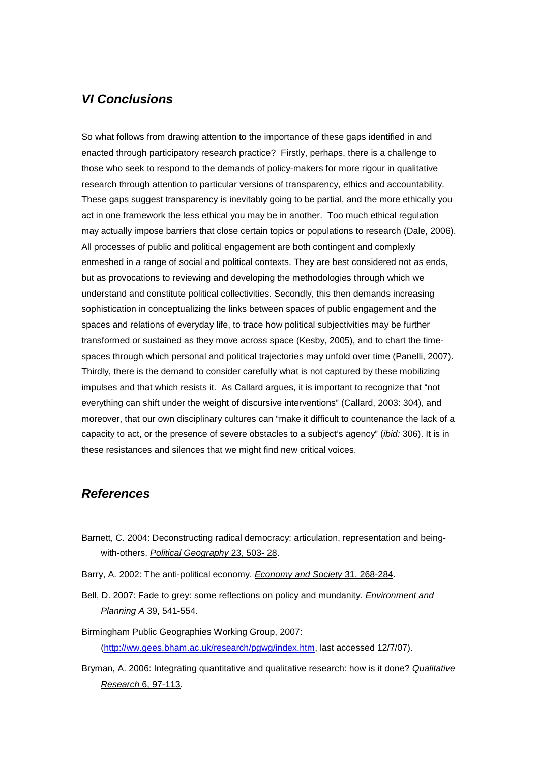### *VI Conclusions*

So what follows from drawing attention to the importance of these gaps identified in and enacted through participatory research practice? Firstly, perhaps, there is a challenge to those who seek to respond to the demands of policy-makers for more rigour in qualitative research through attention to particular versions of transparency, ethics and accountability. These gaps suggest transparency is inevitably going to be partial, and the more ethically you act in one framework the less ethical you may be in another. Too much ethical regulation may actually impose barriers that close certain topics or populations to research (Dale, 2006). All processes of public and political engagement are both contingent and complexly enmeshed in a range of social and political contexts. They are best considered not as ends, but as provocations to reviewing and developing the methodologies through which we understand and constitute political collectivities. Secondly, this then demands increasing sophistication in conceptualizing the links between spaces of public engagement and the spaces and relations of everyday life, to trace how political subjectivities may be further transformed or sustained as they move across space (Kesby, 2005), and to chart the timespaces through which personal and political trajectories may unfold over time (Panelli, 2007). Thirdly, there is the demand to consider carefully what is not captured by these mobilizing impulses and that which resists it. As Callard argues, it is important to recognize that "not everything can shift under the weight of discursive interventions" (Callard, 2003: 304), and moreover, that our own disciplinary cultures can "make it difficult to countenance the lack of a capacity to act, or the presence of severe obstacles to a subject's agency" (*ibid:* 306). It is in these resistances and silences that we might find new critical voices.

#### *References*

- Barnett, C. 2004: Deconstructing radical democracy: articulation, representation and beingwith-others. *Political Geography* 23, 503- 28.
- Barry, A. 2002: The anti-political economy. *Economy and Society* 31, 268-284.
- Bell, D. 2007: Fade to grey: some reflections on policy and mundanity. *Environment and Planning A* 39, 541-554.

Birmingham Public Geographies Working Group, 2007: (http://ww.gees.bham.ac.uk/research/pgwg/index.htm, last accessed 12/7/07).

Bryman, A. 2006: Integrating quantitative and qualitative research: how is it done? *Qualitative Research* 6, 97-113.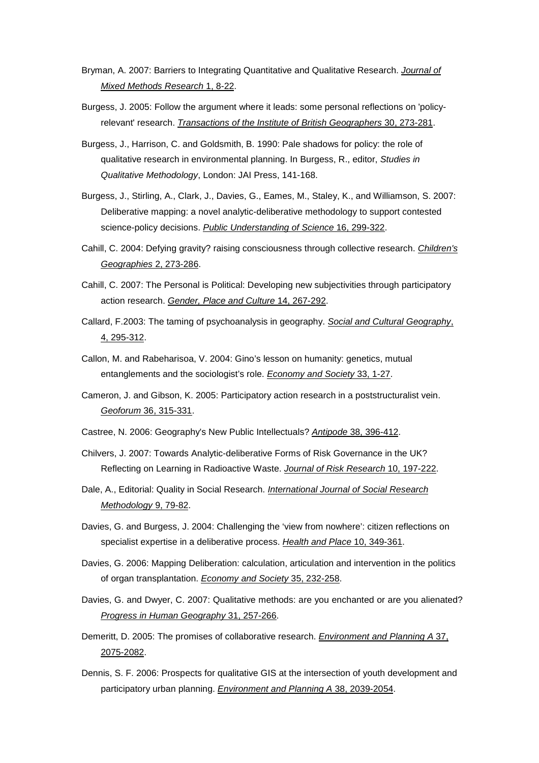- Bryman, A. 2007: Barriers to Integrating Quantitative and Qualitative Research. *Journal of Mixed Methods Research* 1, 8-22.
- Burgess, J. 2005: Follow the argument where it leads: some personal reflections on 'policyrelevant' research. *Transactions of the Institute of British Geographers* 30, 273-281.
- Burgess, J., Harrison, C. and Goldsmith, B. 1990: Pale shadows for policy: the role of qualitative research in environmental planning. In Burgess, R., editor, *Studies in Qualitative Methodology*, London: JAI Press, 141-168.
- Burgess, J., Stirling, A., Clark, J., Davies, G., Eames, M., Staley, K., and Williamson, S. 2007: Deliberative mapping: a novel analytic-deliberative methodology to support contested science-policy decisions. *Public Understanding of Science* 16, 299-322.
- Cahill, C. 2004: Defying gravity? raising consciousness through collective research. *Children's Geographies* 2, 273-286.
- Cahill, C. 2007: The Personal is Political: Developing new subjectivities through participatory action research. *Gender, Place and Culture* 14, 267-292.
- Callard, F.2003: The taming of psychoanalysis in geography. *Social and Cultural Geography*, 4, 295-312.
- Callon, M. and Rabeharisoa, V. 2004: Gino's lesson on humanity: genetics, mutual entanglements and the sociologist's role. *Economy and Society* 33, 1-27.
- Cameron, J. and Gibson, K. 2005: Participatory action research in a poststructuralist vein. *Geoforum* 36, 315-331.
- Castree, N. 2006: Geography's New Public Intellectuals? *Antipode* 38, 396-412.
- Chilvers, J. 2007: Towards Analytic-deliberative Forms of Risk Governance in the UK? Reflecting on Learning in Radioactive Waste. *Journal of Risk Research* 10, 197-222.
- Dale, A., Editorial: Quality in Social Research. *International Journal of Social Research Methodology* 9, 79-82.
- Davies, G. and Burgess, J. 2004: Challenging the 'view from nowhere': citizen reflections on specialist expertise in a deliberative process. *Health and Place* 10, 349-361.
- Davies, G. 2006: Mapping Deliberation: calculation, articulation and intervention in the politics of organ transplantation. *Economy and Society* 35, 232-258.
- Davies, G. and Dwyer, C. 2007: Qualitative methods: are you enchanted or are you alienated? *Progress in Human Geography* 31, 257-266.
- Demeritt, D. 2005: The promises of collaborative research. *Environment and Planning A* 37, 2075-2082.
- Dennis, S. F. 2006: Prospects for qualitative GIS at the intersection of youth development and participatory urban planning. *Environment and Planning A* 38, 2039-2054.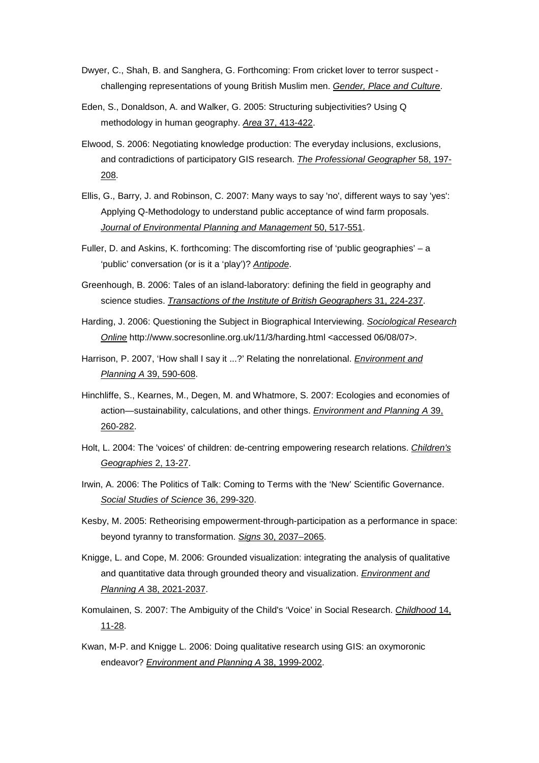- Dwyer, C., Shah, B. and Sanghera, G. Forthcoming: From cricket lover to terror suspect challenging representations of young British Muslim men. *Gender, Place and Culture*.
- Eden, S., Donaldson, A. and Walker, G. 2005: Structuring subjectivities? Using Q methodology in human geography. *Area* 37, 413-422.
- Elwood, S. 2006: Negotiating knowledge production: The everyday inclusions, exclusions, and contradictions of participatory GIS research. *The Professional Geographer* 58, 197- 208.
- Ellis, G., Barry, J. and Robinson, C. 2007: Many ways to say 'no', different ways to say 'yes': Applying Q-Methodology to understand public acceptance of wind farm proposals. *Journal of Environmental Planning and Management* 50, 517-551.
- Fuller, D. and Askins, K. forthcoming: The discomforting rise of 'public geographies' a 'public' conversation (or is it a 'play')? *Antipode*.
- Greenhough, B. 2006: Tales of an island-laboratory: defining the field in geography and science studies. *Transactions of the Institute of British Geographers* 31, 224-237.
- Harding, J. 2006: Questioning the Subject in Biographical Interviewing. *Sociological Research Online* http://www.socresonline.org.uk/11/3/harding.html <accessed 06/08/07>.
- Harrison, P. 2007, 'How shall I say it ...?' Relating the nonrelational. *Environment and Planning A* 39, 590-608.
- Hinchliffe, S., Kearnes, M., Degen, M. and Whatmore, S. 2007: Ecologies and economies of action—sustainability, calculations, and other things. *Environment and Planning A* 39, 260-282.
- Holt, L. 2004: The 'voices' of children: de-centring empowering research relations. *Children's Geographies* 2, 13-27.
- Irwin, A. 2006: The Politics of Talk: Coming to Terms with the 'New' Scientific Governance. *Social Studies of Science* 36, 299-320.
- Kesby, M. 2005: Retheorising empowerment-through-participation as a performance in space: beyond tyranny to transformation. *Signs* 30, 2037–2065.
- Knigge, L. and Cope, M. 2006: Grounded visualization: integrating the analysis of qualitative and quantitative data through grounded theory and visualization. *Environment and Planning A* 38, 2021-2037.
- Komulainen, S. 2007: The Ambiguity of the Child's 'Voice' in Social Research. *Childhood* 14, 11-28.
- Kwan, M-P. and Knigge L. 2006: Doing qualitative research using GIS: an oxymoronic endeavor? *Environment and Planning A* 38, 1999-2002.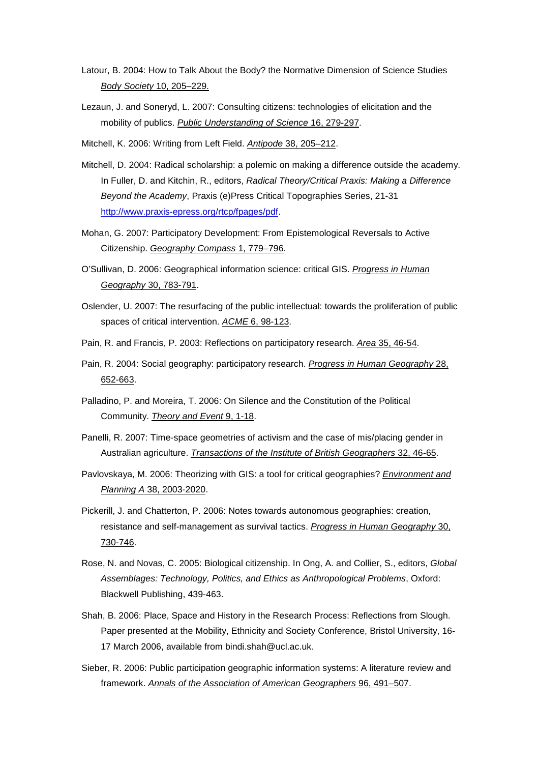- Latour, B. 2004: How to Talk About the Body? the Normative Dimension of Science Studies *Body Society* 10, 205–229.
- Lezaun, J. and Soneryd, L. 2007: Consulting citizens: technologies of elicitation and the mobility of publics. *Public Understanding of Science* 16, 279-297.
- Mitchell, K. 2006: Writing from Left Field. *Antipode* 38, 205–212.
- Mitchell, D. 2004: Radical scholarship: a polemic on making a difference outside the academy. In Fuller, D. and Kitchin, R., editors, *Radical Theory/Critical Praxis: Making a Difference Beyond the Academy*, Praxis (e)Press Critical Topographies Series, 21-31 http://www.praxis-epress.org/rtcp/fpages/pdf.
- Mohan, G. 2007: Participatory Development: From Epistemological Reversals to Active Citizenship. *Geography Compass* 1, 779–796.
- O'Sullivan, D. 2006: Geographical information science: critical GIS. *Progress in Human Geography* 30, 783-791.
- Oslender, U. 2007: The resurfacing of the public intellectual: towards the proliferation of public spaces of critical intervention. *ACME* 6, 98-123.
- Pain, R. and Francis, P. 2003: Reflections on participatory research. *Area* 35, 46-54.
- Pain, R. 2004: Social geography: participatory research. *Progress in Human Geography* 28, 652-663.
- Palladino, P. and Moreira, T. 2006: On Silence and the Constitution of the Political Community. *Theory and Event* 9, 1-18.
- Panelli, R. 2007: Time-space geometries of activism and the case of mis/placing gender in Australian agriculture. *Transactions of the Institute of British Geographers* 32, 46-65.
- Pavlovskaya, M. 2006: Theorizing with GIS: a tool for critical geographies? *Environment and Planning A* 38, 2003-2020.
- Pickerill, J. and Chatterton, P. 2006: Notes towards autonomous geographies: creation, resistance and self-management as survival tactics. *Progress in Human Geography* 30, 730-746.
- Rose, N. and Novas, C. 2005: Biological citizenship. In Ong, A. and Collier, S., editors, *Global Assemblages: Technology, Politics, and Ethics as Anthropological Problems*, Oxford: Blackwell Publishing, 439-463.
- Shah, B. 2006: Place, Space and History in the Research Process: Reflections from Slough. Paper presented at the Mobility, Ethnicity and Society Conference, Bristol University, 16- 17 March 2006, available from bindi.shah@ucl.ac.uk.
- Sieber, R. 2006: Public participation geographic information systems: A literature review and framework. *Annals of the Association of American Geographers* 96, 491–507.